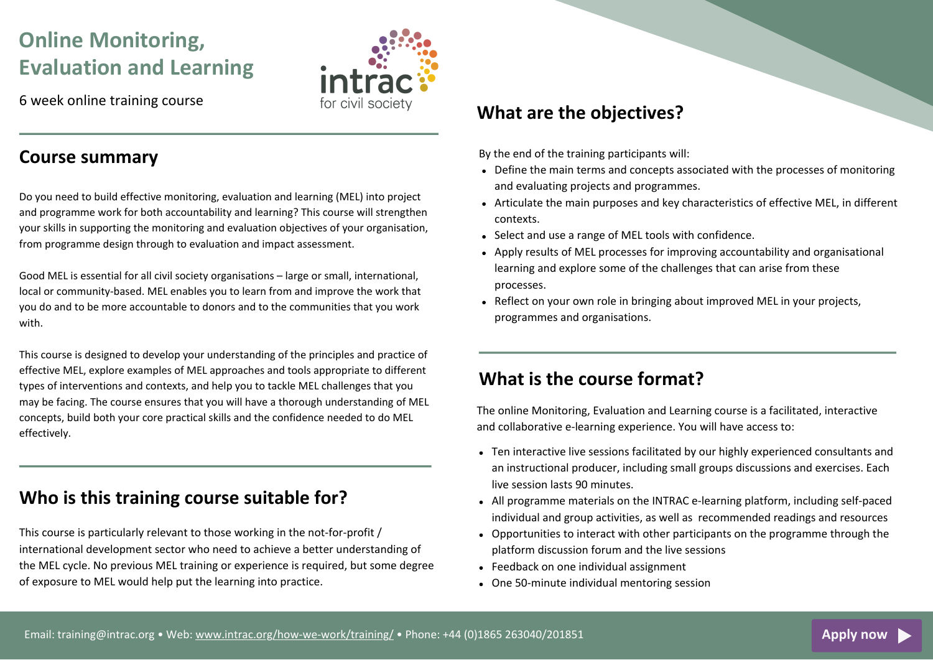# **Online Monitoring, Evaluation and Learning**

6 week online training course

## **Course summary**

Do you need to build effective monitoring, evaluation and learning (MEL) into project and programme work for both accountability and learning? This course will strengthen your skills in supporting the monitoring and evaluation objectives of your organisation, from programme design through to evaluation and impact assessment.

Good MEL is essential for all civil society organisations – large or small, international, local or community-based. MEL enables you to learn from and improve the work that you do and to be more accountable to donors and to the communities that you work with.

This course is designed to develop your understanding of the principles and practice of effective MEL, explore examples of MEL approaches and tools appropriate to different types of interventions and contexts, and help you to tackle MEL challenges that you may be facing. The course ensures that you will have a thorough understanding of MEL concepts, build both your core practical skills and the confidence needed to do MEL effectively.

# **Who is this training course suitable for?**

This course is particularly relevant to those working in the not-for-profit / international development sector who need to achieve a better understanding of the MEL cycle. No previous MEL training or experience is required, but some degree of exposure to MEL would help put the learning into practice.

## **What are the objectives?**

By the end of the training participants will:

- Define the main terms and concepts associated with the processes of monitoring and evaluating projects and programmes.
- Articulate the main purposes and key characteristics of effective MEL, in different contexts.
- Select and use a range of MEL tools with confidence.
- Apply results of MEL processes for improving accountability and organisational learning and explore some of the challenges that can arise from these processes.
- Reflect on your own role in bringing about improved MEL in your projects, programmes and organisations.

#### **What is the course format?**

The online Monitoring, Evaluation and Learning course is a facilitated, interactive and collaborative e-learning experience. You will have access to:

- Ten interactive live sessions facilitated by our highly experienced consultants and an instructional producer, including small groups discussions and exercises. Each live session lasts 90 minutes.
- All programme materials on the INTRAC e-learning platform, including self-paced individual and group activities, as well as recommended readings and resources
- Opportunities to interact with other participants on the programme through the platform discussion forum and the live sessions
- Feedback on one individual assignment
- One 50-minute individual mentoring session